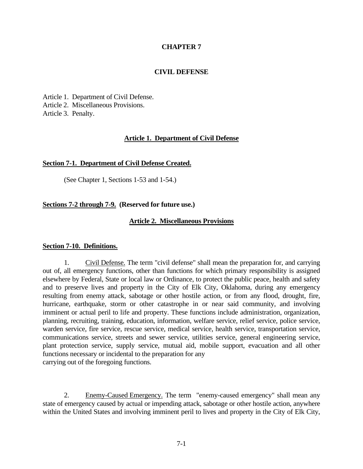## **CHAPTER 7**

### **CIVIL DEFENSE**

Article 1. Department of Civil Defense. Article 2. Miscellaneous Provisions. Article 3. Penalty.

#### **Article 1. Department of Civil Defense**

#### **Section 7-1. Department of Civil Defense Created.**

(See Chapter 1, Sections 1-53 and 1-54.)

## **Sections 7-2 through 7-9. (Reserved for future use.)**

#### **Article 2. Miscellaneous Provisions**

#### **Section 7-10. Definitions.**

1. Civil Defense. The term "civil defense" shall mean the preparation for, and carrying out of, all emergency functions, other than functions for which primary responsibility is assigned elsewhere by Federal, State or local law or Ordinance, to protect the public peace, health and safety and to preserve lives and property in the City of Elk City, Oklahoma, during any emergency resulting from enemy attack, sabotage or other hostile action, or from any flood, drought, fire, hurricane, earthquake, storm or other catastrophe in or near said community, and involving imminent or actual peril to life and property. These functions include administration, organization, planning, recruiting, training, education, information, welfare service, relief service, police service, warden service, fire service, rescue service, medical service, health service, transportation service, communications service, streets and sewer service, utilities service, general engineering service, plant protection service, supply service, mutual aid, mobile support, evacuation and all other functions necessary or incidental to the preparation for any carrying out of the foregoing functions.

2. Enemy-Caused Emergency. The term "enemy-caused emergency" shall mean any state of emergency caused by actual or impending attack, sabotage or other hostile action, anywhere within the United States and involving imminent peril to lives and property in the City of Elk City,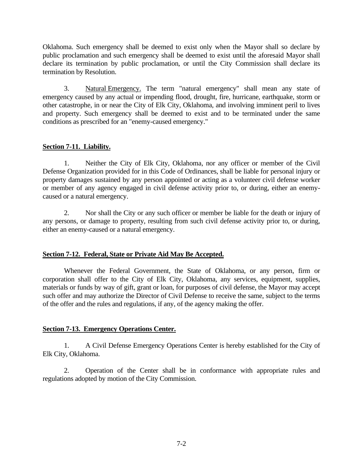Oklahoma. Such emergency shall be deemed to exist only when the Mayor shall so declare by public proclamation and such emergency shall be deemed to exist until the aforesaid Mayor shall declare its termination by public proclamation, or until the City Commission shall declare its termination by Resolution.

3. Natural Emergency. The term "natural emergency" shall mean any state of emergency caused by any actual or impending flood, drought, fire, hurricane, earthquake, storm or other catastrophe, in or near the City of Elk City, Oklahoma, and involving imminent peril to lives and property. Such emergency shall be deemed to exist and to be terminated under the same conditions as prescribed for an "enemy-caused emergency."

## **Section 7-11. Liability.**

1. Neither the City of Elk City, Oklahoma, nor any officer or member of the Civil Defense Organization provided for in this Code of Ordinances, shall be liable for personal injury or property damages sustained by any person appointed or acting as a volunteer civil defense worker or member of any agency engaged in civil defense activity prior to, or during, either an enemycaused or a natural emergency.

2. Nor shall the City or any such officer or member be liable for the death or injury of any persons, or damage to property, resulting from such civil defense activity prior to, or during, either an enemy-caused or a natural emergency.

## **Section 7-12. Federal, State or Private Aid May Be Accepted.**

Whenever the Federal Government, the State of Oklahoma, or any person, firm or corporation shall offer to the City of Elk City, Oklahoma, any services, equipment, supplies, materials or funds by way of gift, grant or loan, for purposes of civil defense, the Mayor may accept such offer and may authorize the Director of Civil Defense to receive the same, subject to the terms of the offer and the rules and regulations, if any, of the agency making the offer.

# **Section 7-13. Emergency Operations Center.**

1. A Civil Defense Emergency Operations Center is hereby established for the City of Elk City, Oklahoma.

2. Operation of the Center shall be in conformance with appropriate rules and regulations adopted by motion of the City Commission.